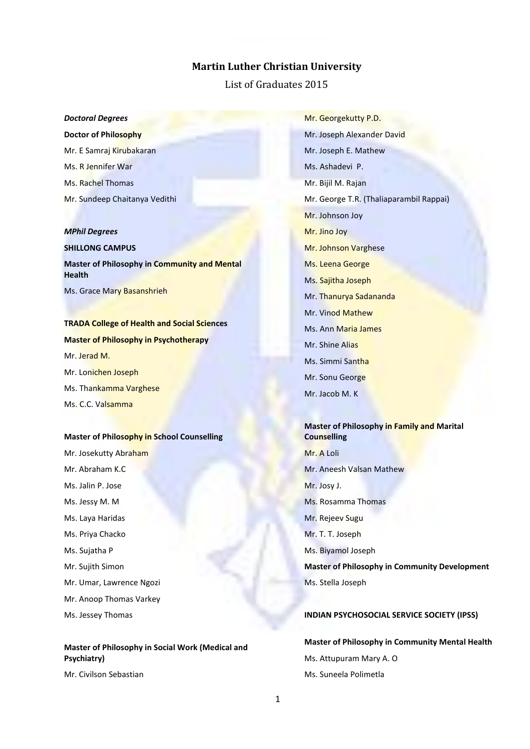# **Martin Luther Christian University**

List of Graduates 2015

#### *Doctoral Degrees*

**Doctor of Philosophy** Mr. E Samraj Kirubakaran Ms. R Jennifer War Ms. Rachel Thomas Mr. Sundeep Chaitanya Vedithi

#### *MPhil Degrees*

**SHILLONG CAMPUS Master of Philosophy in Community and Mental Health** Ms. Grace Mary Basanshrieh

# **TRADA College of Health and Social Sciences Master of Philosophy in Psychotherapy** Mr. Jerad M. Mr. Lonichen Joseph Ms. Thankamma Varghese Ms. C.C. Valsamma

#### **Master of Philosophy in School Counselling**

Mr. Josekutty Abraham Mr. Abraham K.C Ms. Jalin P. Jose Ms. Jessy M. M Ms. Laya Haridas Ms. Priya Chacko Ms. Sujatha P Mr. Sujith Simon Mr. Umar, Lawrence Ngozi Mr. Anoop Thomas Varkey Ms. Jessey Thomas

# **Master of Philosophy in Social Work (Medical and Psychiatry)**

Mr. Civilson Sebastian

Mr. Georgekutty P.D. Mr. Joseph Alexander David Mr. Joseph E. Mathew Ms. Ashadevi P. Mr. Bijil M. Rajan Mr. George T.R. (Thaliaparambil Rappai) Mr. Johnson Joy Mr. Jino Joy Mr. Johnson Varghese Ms. Leena George Ms. Sajitha Joseph Mr. Thanurya Sadananda Mr. Vinod Mathew Ms. Ann Maria James Mr. Shine Alias Ms. Simmi Santha Mr. Sonu George

Mr. Jacob M. K

# **Master of Philosophy in Family and Marital Counselling**

Mr. A Loli Mr. Aneesh Valsan Mathew Mr. Josy J. Ms. Rosamma Thomas Mr. Rejeev Sugu Mr. T. T. Joseph Ms. Biyamol Joseph **Master of Philosophy in Community Development** Ms. Stella Joseph

#### **INDIAN PSYCHOSOCIAL SERVICE SOCIETY (IPSS)**

**Master of Philosophy in Community Mental Health** Ms. Attupuram Mary A. O Ms. Suneela Polimetla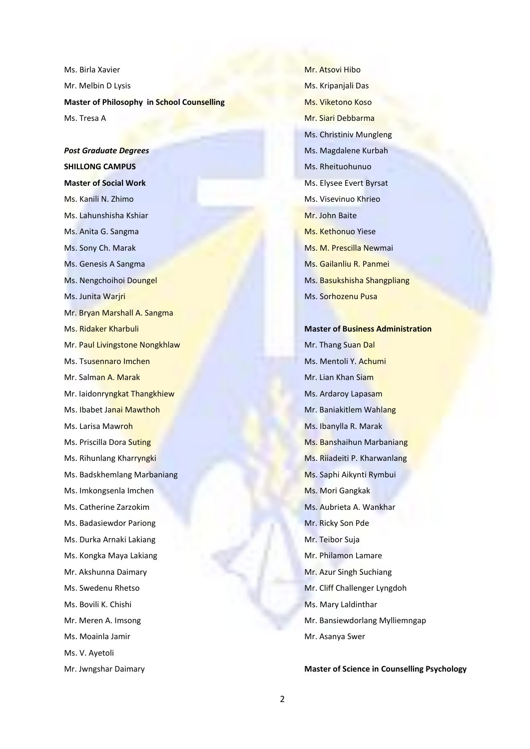Ms. Birla Xavier Mr. Melbin D Lysis **Master of Philosophy in School Counselling** Ms. Tresa A

*Post Graduate Degrees* **SHILLONG CAMPUS Master of Social Work** Ms. Kanili N. Zhimo Ms. Lahunshisha Kshiar Ms. Anita G. Sangma Ms. Sony Ch. Marak Ms. Genesis A Sangma Ms. Nengchoihoi Doungel Ms. Junita Warjri Mr. Bryan Marshall A. Sangma Ms. Ridaker Kharbuli Mr. Paul Livingstone Nongkhlaw Ms. Tsusennaro Imchen Mr. Salman A. Marak Mr. Iaidonryngkat Thangkhiew Ms. Ibabet Janai Mawthoh Ms. Larisa Mawroh Ms. Priscilla Dora Suting Ms. Rihunlang Kharryngki Ms. Badskhemlang Marbaniang Ms. Imkongsenla Imchen Ms. Catherine Zarzokim Ms. Badasiewdor Pariong Ms. Durka Arnaki Lakiang Ms. Kongka Maya Lakiang Mr. Akshunna Daimary Ms. Swedenu Rhetso Ms. Bovili K. Chishi Mr. Meren A. Imsong Ms. Moainla Jamir Ms. V. Ayetoli

Mr. Jwngshar Daimary

Mr. Atsovi Hibo Ms. Kripanjali Das Ms. Viketono Koso Mr. Siari Debbarma Ms. Christiniv Mungleng Ms. Magdalene Kurbah Ms. Rheituohunuo Ms. Elysee Evert Byrsat Ms. Visevinuo Khrieo Mr. John Baite Ms. Kethonuo Yiese Ms. M. Prescilla Newmai Ms. Gailanliu R. Panmei Ms. Basukshisha Shangpliang Ms. Sorhozenu Pusa

**Master of Business Administration** Mr. Thang Suan Dal Ms. Mentoli Y. Achumi Mr. Lian Khan Siam Ms. Ardaroy Lapasam Mr. Baniakitlem Wahlang Ms. Ibanylla R. Marak Ms. Banshaihun Marbaniang Ms. Riiadeiti P. Kharwanlang Ms. Saphi Aikynti Rymbui Ms. Mori Gangkak Ms. Aubrieta A. Wankhar Mr. Ricky Son Pde Mr. Teibor Suja Mr. Philamon Lamare Mr. Azur Singh Suchiang Mr. Cliff Challenger Lyngdoh Ms. Mary Laldinthar Mr. Bansiewdorlang Mylliemngap Mr. Asanya Swer

### **Master of Science in Counselling Psychology**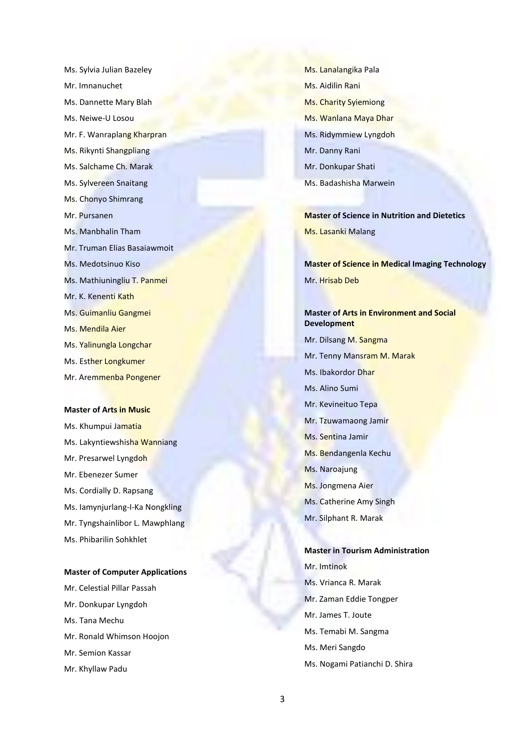Ms. Sylvia Julian Bazeley Mr. Imnanuchet Ms. Dannette Mary Blah Ms. Neiwe-U Losou Mr. F. Wanraplang Kharpran Ms. Rikynti Shangpliang Ms. Salchame Ch. Marak Ms. Sylvereen Snaitang Ms. Chonyo Shimrang Mr. Pursanen Ms. Manbhalin Tham Mr. Truman Elias Basaiawmoit Ms. Medotsinuo Kiso Ms. Mathiuningliu T. Panmei Mr. K. Kenenti Kath Ms. Guimanliu Gangmei Ms. Mendila Aier Ms. Yalinungla Longchar Ms. Esther Longkumer Mr. Aremmenba Pongener

#### **Master of Arts in Music**

Ms. Khumpui Jamatia Ms. Lakyntiewshisha Wanniang Mr. Presarwel Lyngdoh Mr. Ebenezer Sumer Ms. Cordially D. Rapsang Ms. Iamynjurlang-I-Ka Nongkling Mr. Tyngshainlibor L. Mawphlang Ms. Phibarilin Sohkhlet

#### **Master of Computer Applications**

Mr. Celestial Pillar Passah Mr. Donkupar Lyngdoh Ms. Tana Mechu Mr. Ronald Whimson Hoojon Mr. Semion Kassar Mr. Khyllaw Padu

Ms. Lanalangika Pala Ms. Aidilin Rani Ms. Charity Syiemiong Ms. Wanlana Maya Dhar Ms. Ridymmiew Lyngdoh Mr. Danny Rani Mr. Donkupar Shati Ms. Badashisha Marwein

**Master of Science in Nutrition and Dietetics** Ms. Lasanki Malang

**Master of Science in Medical Imaging Technology** Mr. Hrisab Deb

**Master of Arts in Environment and Social Development** Mr. Dilsang M. Sangma Mr. Tenny Mansram M. Marak Ms. Ibakordor Dhar Ms. Alino Sumi Mr. Kevineituo Tepa Mr. Tzuwamaong Jamir Ms. Sentina Jamir Ms. Bendangenla Kechu Ms. Naroajung Ms. Jongmena Aier Ms. Catherine Amy Singh Mr. Silphant R. Marak

**Master in Tourism Administration** Mr. Imtinok Ms. Vrianca R. Marak Mr. Zaman Eddie Tongper Mr. James T. Joute Ms. Temabi M. Sangma Ms. Meri Sangdo Ms. Nogami Patianchi D. Shira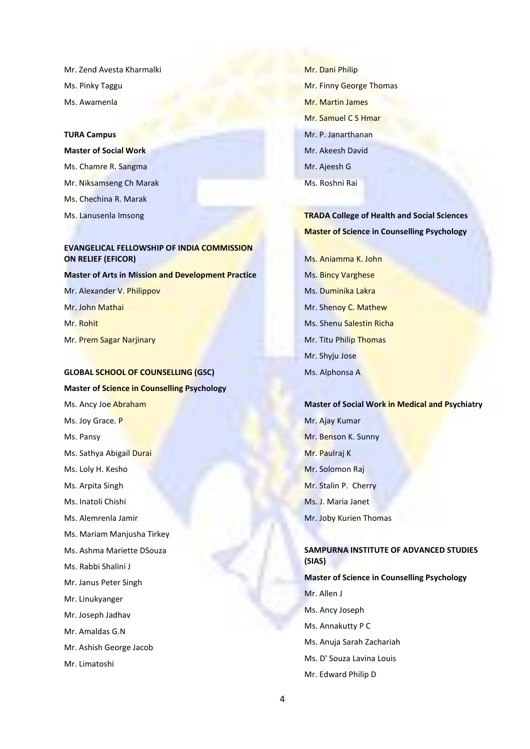Mr. Zend Avesta Kharmalki Ms. Pinky Taggu Ms. Awamenla

#### **TURA Campus**

**Master of Social Work** Ms. Chamre R. Sangma Mr. Niksamseng Ch Marak Ms. Chechina R. Marak Ms. Lanusenla Imsong

# **EVANGELICAL FELLOWSHIP OF INDIA COMMISSION ON RELIEF (EFICOR)**

**Master of Arts in Mission and Development Practice** Mr. Alexander V. Philippov Mr. John Mathai Mr. Rohit Mr. Prem Sagar Narjinary

#### **GLOBAL SCHOOL OF COUNSELLING (GSC)**

**Master of Science in Counselling Psychology** Ms. Ancy Joe Abraham Ms. Joy Grace. P Ms. Pansy Ms. Sathya Abigail Durai Ms. Loly H. Kesho Ms. Arpita Singh Ms. Inatoli Chishi Ms. Alemrenla Jamir Ms. Mariam Manjusha Tirkey Ms. Ashma Mariette DSouza Ms. Rabbi Shalini J Mr. Janus Peter Singh Mr. Linukyanger Mr. Joseph Jadhav Mr. Amaldas G.N Mr. Ashish George Jacob Mr. Limatoshi

Mr. Dani Philip Mr. Finny George Thomas Mr. Martin James Mr. Samuel C S Hmar Mr. P. Janarthanan Mr. Akeesh David Mr. Ajeesh G Ms. Roshni Rai

**TRADA College of Health and Social Sciences Master of Science in Counselling Psychology**

Ms. Aniamma K. John Ms. Bincy Varghese Ms. Duminika Lakra Mr. Shenoy C. Mathew Ms. Shenu Salestin Richa Mr. Titu Philip Thomas Mr. Shyju Jose Ms. Alphonsa A

**Master of Social Work in Medical and Psychiatry** Mr. Ajay Kumar Mr. Benson K. Sunny Mr. Paulraj K Mr. Solomon Raj Mr. Stalin P. Cherry Ms. J. Maria Janet Mr. Joby Kurien Thomas

# **SAMPURNA INSTITUTE OF ADVANCED STUDIES (SIAS)**

**Master of Science in Counselling Psychology** Mr. Allen J Ms. Ancy Joseph Ms. Annakutty P C Ms. Anuja Sarah Zachariah Ms. D' Souza Lavina Louis Mr. Edward Philip D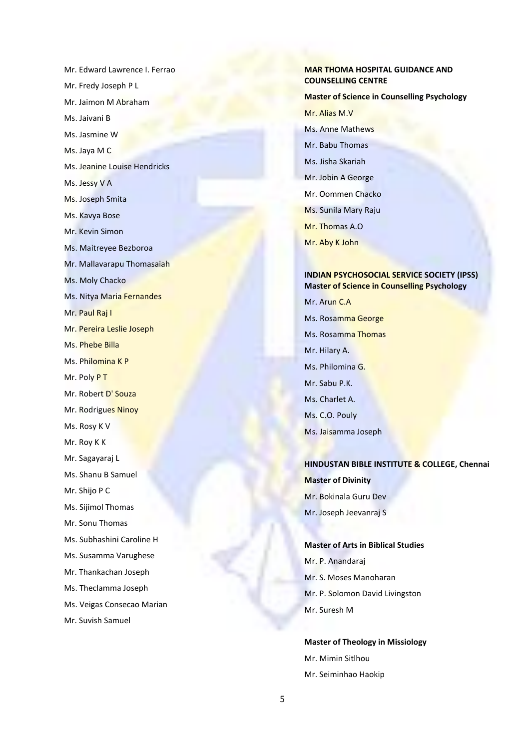Mr. Edward Lawrence I. Ferrao Mr. Fredy Joseph P L Mr. Jaimon M Abraham Ms. Jaivani B Ms. Jasmine W Ms. Jaya M C Ms. Jeanine Louise Hendricks Ms. Jessy V A Ms. Joseph Smita Ms. Kavya Bose Mr. Kevin Simon Ms. Maitreyee Bezboroa Mr. Mallavarapu Thomasaiah Ms. Moly Chacko Ms. Nitya Maria Fernandes Mr. Paul Raj I Mr. Pereira Leslie Joseph Ms. Phebe Billa Ms. Philomina K P Mr. Poly P T Mr. Robert D' Souza Mr. Rodrigues Ninoy Ms. Rosy K V Mr. Roy K K Mr. Sagayaraj L Ms. Shanu B Samuel Mr. Shijo P C Ms. Sijimol Thomas Mr. Sonu Thomas Ms. Subhashini Caroline H Ms. Susamma Varughese Mr. Thankachan Joseph Ms. Theclamma Joseph Ms. Veigas Consecao Marian Mr. Suvish Samuel

#### **MAR THOMA HOSPITAL GUIDANCE AND COUNSELLING CENTRE**

**Master of Science in Counselling Psychology** Mr. Alias M.V Ms. Anne Mathews Mr. Babu Thomas Ms. Jisha Skariah Mr. Jobin A George Mr. Oommen Chacko Ms. Sunila Mary Raju Mr. Thomas A.O Mr. Aby K John

## **INDIAN PSYCHOSOCIAL SERVICE SOCIETY (IPSS) Master of Science in Counselling Psychology**

Mr. Arun C.A Ms. Rosamma George Ms. Rosamma Thomas Mr. Hilary A. Ms. Philomina G. Mr. Sabu P.K. Ms. Charlet A. Ms. C.O. Pouly Ms. Jaisamma Joseph

**HINDUSTAN BIBLE INSTITUTE & COLLEGE, Chennai Master of Divinity** Mr. Bokinala Guru Dev Mr. Joseph Jeevanraj S

**Master of Arts in Biblical Studies** Mr. P. Anandaraj Mr. S. Moses Manoharan Mr. P. Solomon David Livingston Mr. Suresh M

**Master of Theology in Missiology** Mr. Mimin Sitlhou Mr. Seiminhao Haokip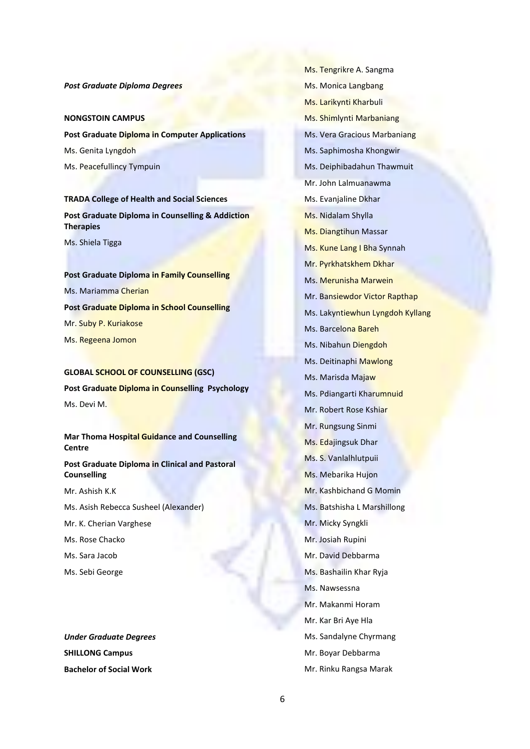*Post Graduate Diploma Degrees*

#### **NONGSTOIN CAMPUS**

**Post Graduate Diploma in Computer Applications** Ms. Genita Lyngdoh Ms. Peacefullincy Tympuin

**TRADA College of Health and Social Sciences Post Graduate Diploma in Counselling & Addiction Therapies**

Ms. Shiela Tigga

**Post Graduate Diploma in Family Counselling** Ms. Mariamma Cherian **Post Graduate Diploma in School Counselling** Mr. Suby P. Kuriakose Ms. Regeena Jomon

# **GLOBAL SCHOOL OF COUNSELLING (GSC)**

**Post Graduate Diploma in Counselling Psychology** Ms. Devi M.

**Mar Thoma Hospital Guidance and Counselling Centre**

**Post Graduate Diploma in Clinical and Pastoral Counselling**

Mr. Ashish K.K

- Ms. Asish Rebecca Susheel (Alexander)
- Mr. K. Cherian Varghese

Ms. Rose Chacko

- Ms. Sara Jacob
- Ms. Sebi George

*Under Graduate Degrees* **SHILLONG Campus Bachelor of Social Work**

Ms. Tengrikre A. Sangma Ms. Monica Langbang Ms. Larikynti Kharbuli Ms. Shimlynti Marbaniang Ms. Vera Gracious Marbaniang Ms. Saphimosha Khongwir Ms. Deiphibadahun Thawmuit Mr. John Lalmuanawma Ms. Evanjaline Dkhar Ms. Nidalam Shylla Ms. Diangtihun Massar Ms. Kune Lang I Bha Synnah Mr. Pyrkhatskhem Dkhar Ms. Merunisha Marwein Mr. Bansiewdor Victor Rapthap Ms. Lakyntiewhun Lyngdoh Kyllang Ms. Barcelona Bareh Ms. Nibahun Diengdoh Ms. Deitinaphi Mawlong Ms. Marisda Majaw Ms. Pdiangarti Kharumnuid Mr. Robert Rose Kshiar Mr. Rungsung Sinmi Ms. Edajingsuk Dhar Ms. S. Vanlalhlutpuii Ms. Mebarika Hujon Mr. Kashbichand G Momin Ms. Batshisha L Marshillong Mr. Micky Syngkli Mr. Josiah Rupini Mr. David Debbarma Ms. Bashailin Khar Ryja Ms. Nawsessna Mr. Makanmi Horam Mr. Kar Bri Aye Hla Ms. Sandalyne Chyrmang Mr. Boyar Debbarma

Mr. Rinku Rangsa Marak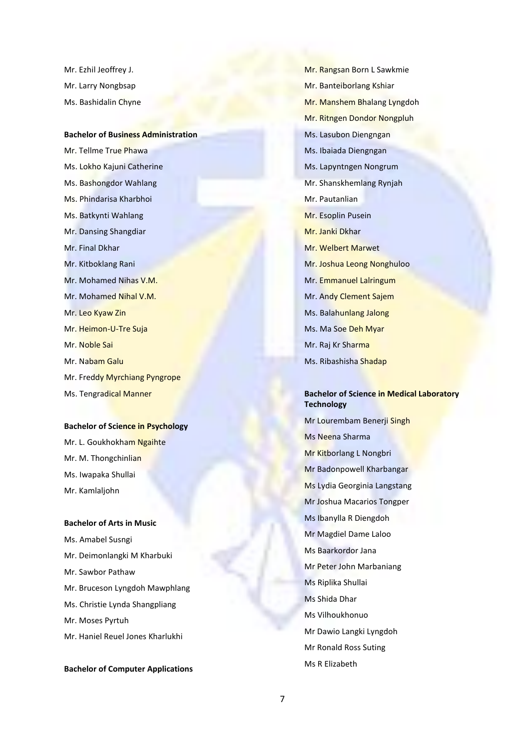Mr. Ezhil Jeoffrey J. Mr. Larry Nongbsap Ms. Bashidalin Chyne

## **Bachelor of Business Administration**

Mr. Tellme True Phawa Ms. Lokho Kajuni Catherine Ms. Bashongdor Wahlang Ms. Phindarisa Kharbhoi Ms. Batkynti Wahlang Mr. Dansing Shangdiar Mr. Final Dkhar Mr. Kitboklang Rani Mr. Mohamed Nihas V.M. Mr. Mohamed Nihal V.M. Mr. Leo Kyaw Zin Mr. Heimon-U-Tre Suja Mr. Noble Sai Mr. Nabam Galu Mr. Freddy Myrchiang Pyngrope Ms. Tengradical Manner

#### **Bachelor of Science in Psychology**

Mr. L. Goukhokham Ngaihte Mr. M. Thongchinlian Ms. Iwapaka Shullai Mr. Kamlaljohn

### **Bachelor of Arts in Music**

Ms. Amabel Susngi Mr. Deimonlangki M Kharbuki Mr. Sawbor Pathaw Mr. Bruceson Lyngdoh Mawphlang Ms. Christie Lynda Shangpliang Mr. Moses Pyrtuh Mr. Haniel Reuel Jones Kharlukhi

### **Bachelor of Computer Applications**

Mr. Rangsan Born L Sawkmie Mr. Banteiborlang Kshiar Mr. Manshem Bhalang Lyngdoh Mr. Ritngen Dondor Nongpluh Ms. Lasubon Diengngan Ms. Ibaiada Diengngan Ms. Lapyntngen Nongrum Mr. Shanskhemlang Rynjah Mr. Pautanlian Mr. Esoplin Pusein Mr. Janki Dkhar Mr. Welbert Marwet Mr. Joshua Leong Nonghuloo Mr. Emmanuel Lalringum Mr. Andy Clement Sajem Ms. Balahunlang Jalong Ms. Ma Soe Deh Myar Mr. Raj Kr Sharma Ms. Ribashisha Shadap

# **Bachelor of Science in Medical Laboratory Technology**

Mr Lourembam Benerji Singh Ms Neena Sharma Mr Kitborlang L Nongbri Mr Badonpowell Kharbangar Ms Lydia Georginia Langstang Mr Joshua Macarios Tongper Ms Ibanylla R Diengdoh Mr Magdiel Dame Laloo Ms Baarkordor Jana Mr Peter John Marbaniang Ms Riplika Shullai Ms Shida Dhar Ms Vilhoukhonuo Mr Dawio Langki Lyngdoh Mr Ronald Ross Suting Ms R Elizabeth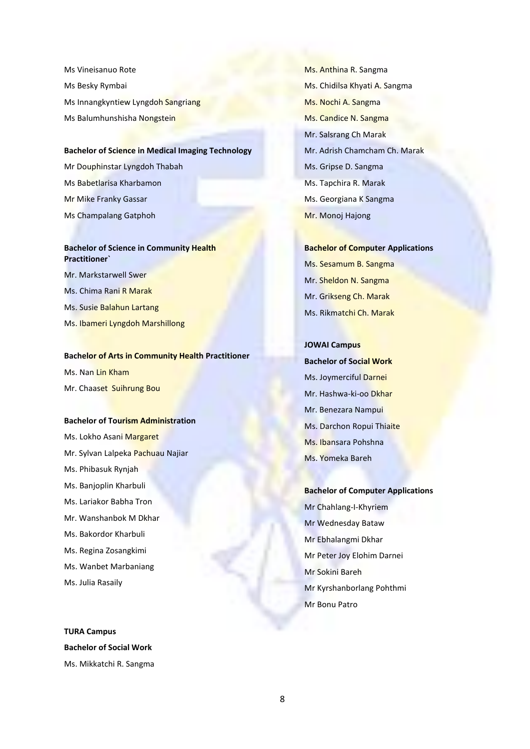Ms Vineisanuo Rote Ms Besky Rymbai Ms Innangkyntiew Lyngdoh Sangriang Ms Balumhunshisha Nongstein

# **Bachelor of Science in Medical Imaging Technology**

Mr Douphinstar Lyngdoh Thabah Ms Babetlarisa Kharbamon Mr Mike Franky Gassar Ms Champalang Gatphoh

# **Bachelor of Science in Community Health Practitioner`**

Mr. Markstarwell Swer Ms. Chima Rani R Marak Ms. Susie Balahun Lartang Ms. Ibameri Lyngdoh Marshillong

### **Bachelor of Arts in Community Health Practitioner**

Ms. Nan Lin Kham

Mr. Chaaset Suihrung Bou

#### **Bachelor of Tourism Administration**

Ms. Lokho Asani Margaret Mr. Sylvan Lalpeka Pachuau Najiar Ms. Phibasuk Rynjah Ms. Banjoplin Kharbuli Ms. Lariakor Babha Tron Mr. Wanshanbok M Dkhar Ms. Bakordor Kharbuli Ms. Regina Zosangkimi Ms. Wanbet Marbaniang

Ms. Julia Rasaily

**TURA Campus Bachelor of Social Work** Ms. Mikkatchi R. Sangma Ms. Anthina R. Sangma Ms. Chidilsa Khyati A. Sangma Ms. Nochi A. Sangma Ms. Candice N. Sangma Mr. Salsrang Ch Marak Mr. Adrish Chamcham Ch. Marak Ms. Gripse D. Sangma Ms. Tapchira R. Marak Ms. Georgiana K Sangma Mr. Monoj Hajong

# **Bachelor of Computer Applications** Ms. Sesamum B. Sangma Mr. Sheldon N. Sangma Mr. Grikseng Ch. Marak Ms. Rikmatchi Ch. Marak

**JOWAI Campus Bachelor of Social Work** Ms. Joymerciful Darnei Mr. Hashwa-ki-oo Dkhar Mr. Benezara Nampui Ms. Darchon Ropui Thiaite Ms. Ibansara Pohshna Ms. Yomeka Bareh

**Bachelor of Computer Applications** Mr Chahlang-I-Khyriem Mr Wednesday Bataw Mr Ebhalangmi Dkhar Mr Peter Joy Elohim Darnei Mr Sokini Bareh Mr Kyrshanborlang Pohthmi Mr Bonu Patro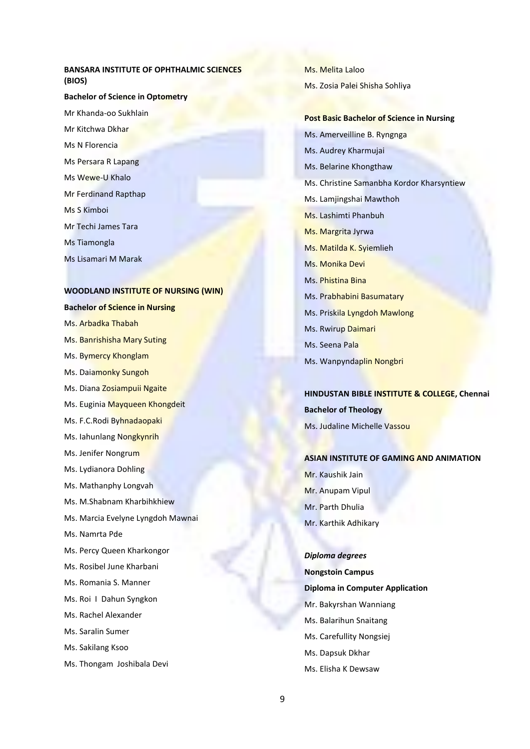### **BANSARA INSTITUTE OF OPHTHALMIC SCIENCES (BIOS)**

#### **Bachelor of Science in Optometry**

Mr Khanda-oo Sukhlain Mr Kitchwa Dkhar Ms N Florencia Ms Persara R Lapang Ms Wewe-U Khalo Mr Ferdinand Rapthap Ms S Kimboi Mr Techi James Tara Ms Tiamongla Ms Lisamari M Marak

# **WOODLAND INSTITUTE OF NURSING (WIN)**

# **Bachelor of Science in Nursing** Ms. Arbadka Thabah

- Ms. Banrishisha Mary Suting
- Ms. Bymercy Khonglam
- Ms. Daiamonky Sungoh
- Ms. Diana Zosiampuii Ngaite
- Ms. Euginia Mayqueen Khongdeit
- Ms. F.C.Rodi Byhnadaopaki
- Ms. Iahunlang Nongkynrih
- Ms. Jenifer Nongrum
- Ms. Lydianora Dohling
- Ms. Mathanphy Longvah
- Ms. M.Shabnam Kharbihkhiew
- Ms. Marcia Evelyne Lyngdoh Mawnai
- Ms. Namrta Pde
- Ms. Percy Queen Kharkongor
- Ms. Rosibel June Kharbani
- Ms. Romania S. Manner
- Ms. Roi I Dahun Syngkon
- Ms. Rachel Alexander
- Ms. Saralin Sumer
- Ms. Sakilang Ksoo
- Ms. Thongam Joshibala Devi

Ms. Melita Laloo Ms. Zosia Palei Shisha Sohliya

## **Post Basic Bachelor of Science in Nursing**

Ms. Amerveilline B. Ryngnga Ms. Audrey Kharmujai Ms. Belarine Khongthaw Ms. Christine Samanbha Kordor Kharsyntiew Ms. Lamjingshai Mawthoh Ms. Lashimti Phanbuh Ms. Margrita Jyrwa Ms. Matilda K. Syiemlieh Ms. Monika Devi Ms. Phistina Bina Ms. Prabhabini Basumatary Ms. Priskila Lyngdoh Mawlong Ms. Rwirup Daimari Ms. Seena Pala Ms. Wanpyndaplin Nongbri

# **HINDUSTAN BIBLE INSTITUTE & COLLEGE, Chennai Bachelor of Theology** Ms. Judaline Michelle Vassou

#### **ASIAN INSTITUTE OF GAMING AND ANIMATION**

Mr. Kaushik Jain Mr. Anupam Vipul Mr. Parth Dhulia Mr. Karthik Adhikary

#### *Diploma degrees*

**Nongstoin Campus Diploma in Computer Application** Mr. Bakyrshan Wanniang Ms. Balarihun Snaitang Ms. Carefullity Nongsiej Ms. Dapsuk Dkhar Ms. Elisha K Dewsaw